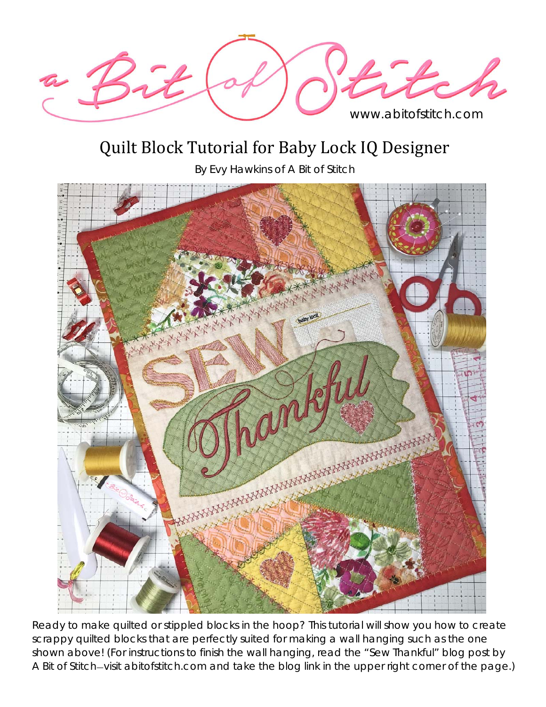

## Quilt Block Tutorial for Baby Lock IQ Designer

By Evy Hawkins of A Bit of Stitch



Ready to make quilted or stippled blocks in the hoop? This tutorial will show you how to create scrappy quilted blocks that are perfectly suited for making a wall hanging such as the one shown above! (For instructions to finish the wall hanging, read the "Sew Thankful" blog post by A Bit of Stitch—visit abitofstitch.com and take the blog link in the upper right corner of the page.)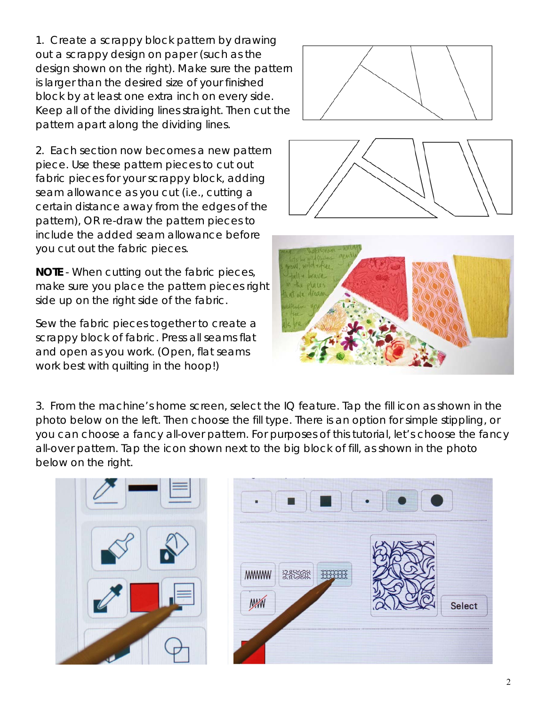1. Create a scrappy block pattern by drawing out a scrappy design on paper (such as the design shown on the right). Make sure the pattern is larger than the desired size of your finished block by at least one extra inch on every side. Keep all of the dividing lines straight. Then cut the pattern apart along the dividing lines.

2. Each section now becomes a new pattern piece. Use these pattern pieces to cut out fabric pieces for your scrappy block, *adding seam allowance as you cut* (i.e., cutting a certain distance away from the edges of the pattern), OR re-draw the pattern pieces to include the added seam allowance before you cut out the fabric pieces.

*NOTE - When cutting out the fabric pieces, make sure you place the pattern pieces right side up on the right side of the fabric.* 

Sew the fabric pieces together to create a scrappy block of fabric. Press all seams flat and open as you work. (Open, flat seams work best with quilting in the hoop!)







3. From the machine's home screen, select the IQ feature. Tap the fill icon as shown in the photo below on the left. Then choose the fill type. There is an option for simple stippling, or you can choose a fancy all-over pattern. For purposes of this tutorial, let's choose the fancy all-over pattern. Tap the icon shown next to the big block of fill, as shown in the photo below on the right.



| <b>MWWW</b><br>335500<br><b>***********</b> | Select |
|---------------------------------------------|--------|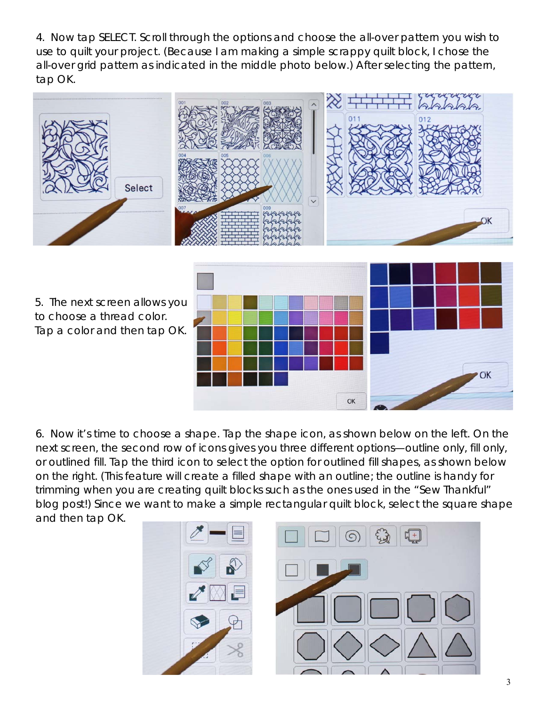4. Now tap SELECT. Scroll through the options and choose the all-over pattern you wish to use to quilt your project. (Because I am making a simple scrappy quilt block, I chose the all-over grid pattern as indicated in the middle photo below.) After selecting the pattern, tap OK.



6. Now it's time to choose a shape. Tap the shape icon, as shown below on the left. On the next screen, the second row of icons gives you three different options—outline only, fill only, or outlined fill. Tap the third icon to select the option for outlined fill shapes, as shown below on the right. (This feature will create a filled shape with an outline; the outline is handy for trimming when you are creating quilt blocks such as the ones used in the "Sew Thankful" blog post!) Since we want to make a simple rectangular quilt block, select the square shape and then tap OK.

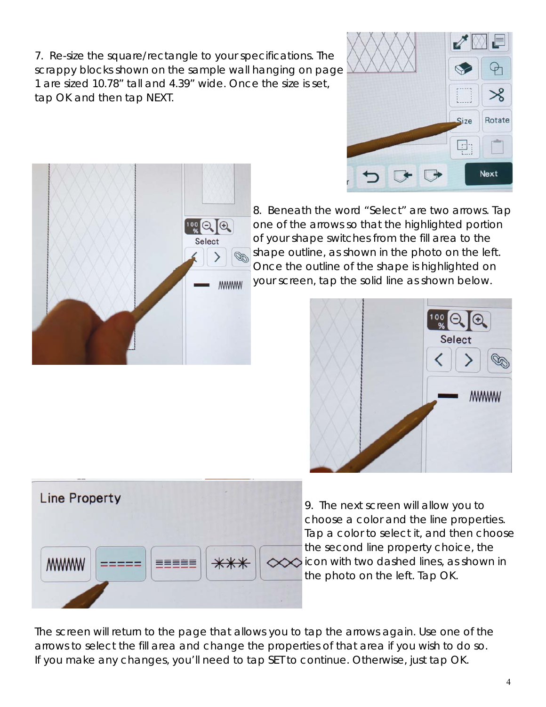7. Re-size the square/rectangle to your specifications. The scrappy blocks shown on the sample wall hanging on page 1 are sized 10.78" tall and 4.39" wide. Once the size is set, tap OK and then tap NEXT.





8. Beneath the word "Select" are two arrows. Tap one of the arrows so that the highlighted portion of your shape switches from the fill area to the shape outline, as shown in the photo on the left. Once the outline of the shape is highlighted on your screen, tap the solid line as shown below.





9. The next screen will allow you to choose a color and the line properties. Tap a color to select it, and then choose the second line property choice, the  $\infty$ icon with two dashed lines, as shown in the photo on the left. Tap OK.

The screen will return to the page that allows you to tap the arrows again. Use one of the arrows to select the fill area and change the properties of that area if you wish to do so. If you make any changes, you'll need to tap SET to continue. Otherwise, just tap OK.